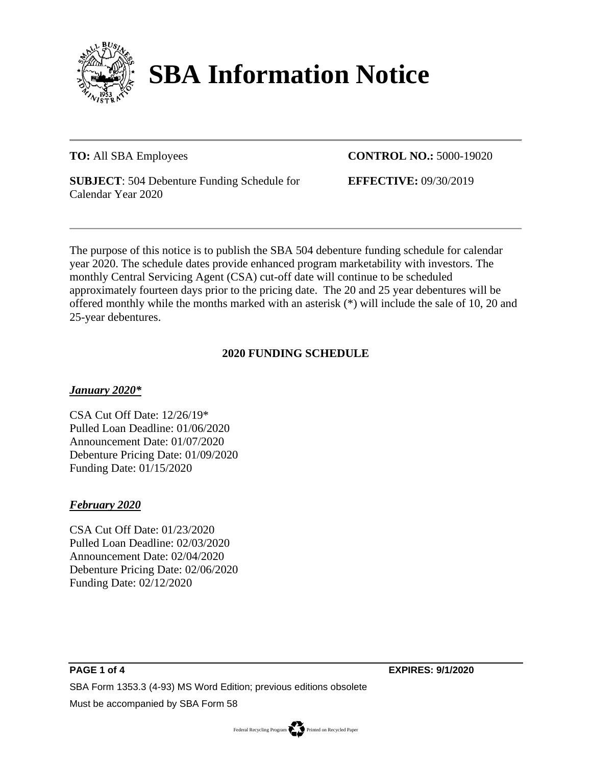

# **SBA Information Notice**

**TO:** All SBA Employees

**CONTROL NO.:** 5000-19020

**SUBJECT**: 504 Debenture Funding Schedule for Calendar Year 2020

**EFFECTIVE:** 09/30/2019

The purpose of this notice is to publish the SBA 504 debenture funding schedule for calendar year 2020. The schedule dates provide enhanced program marketability with investors. The monthly Central Servicing Agent (CSA) cut-off date will continue to be scheduled approximately fourteen days prior to the pricing date. The 20 and 25 year debentures will be offered monthly while the months marked with an asterisk (\*) will include the sale of 10, 20 and 25-year debentures.

# **2020 FUNDING SCHEDULE**

# *January 2020\**

CSA Cut Off Date: 12/26/19\* Pulled Loan Deadline: 01/06/2020 Announcement Date: 01/07/2020 Debenture Pricing Date: 01/09/2020 Funding Date: 01/15/2020

# *February 2020*

CSA Cut Off Date: 01/23/2020 Pulled Loan Deadline: 02/03/2020 Announcement Date: 02/04/2020 Debenture Pricing Date: 02/06/2020 Funding Date: 02/12/2020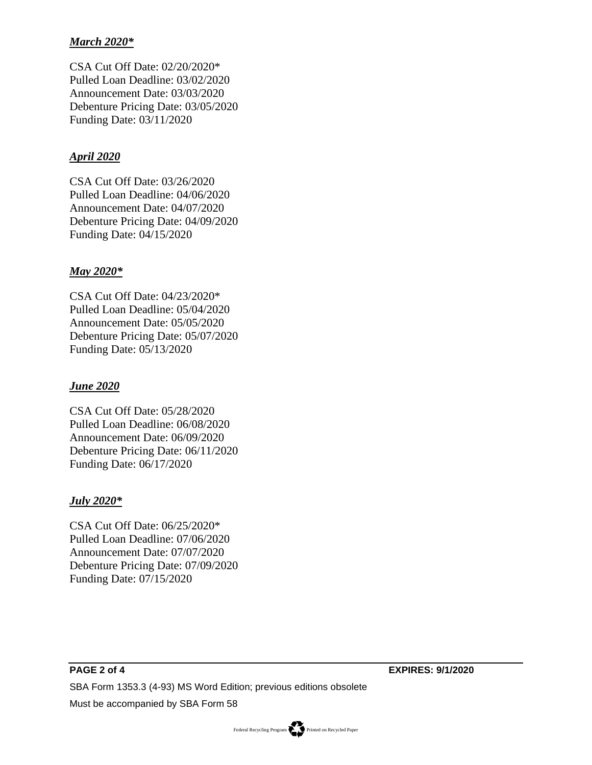## *March 2020\**

CSA Cut Off Date: 02/20/2020\* Pulled Loan Deadline: 03/02/2020 Announcement Date: 03/03/2020 Debenture Pricing Date: 03/05/2020 Funding Date: 03/11/2020

#### *April 2020*

CSA Cut Off Date: 03/26/2020 Pulled Loan Deadline: 04/06/2020 Announcement Date: 04/07/2020 Debenture Pricing Date: 04/09/2020 Funding Date: 04/15/2020

#### *May 2020\**

CSA Cut Off Date: 04/23/2020\* Pulled Loan Deadline: 05/04/2020 Announcement Date: 05/05/2020 Debenture Pricing Date: 05/07/2020 Funding Date: 05/13/2020

## *June 2020*

CSA Cut Off Date: 05/28/2020 Pulled Loan Deadline: 06/08/2020 Announcement Date: 06/09/2020 Debenture Pricing Date: 06/11/2020 Funding Date: 06/17/2020

#### *July 2020\**

CSA Cut Off Date: 06/25/2020\* Pulled Loan Deadline: 07/06/2020 Announcement Date: 07/07/2020 Debenture Pricing Date: 07/09/2020 Funding Date: 07/15/2020

Federal Recycling Program Printed on Recycled Paper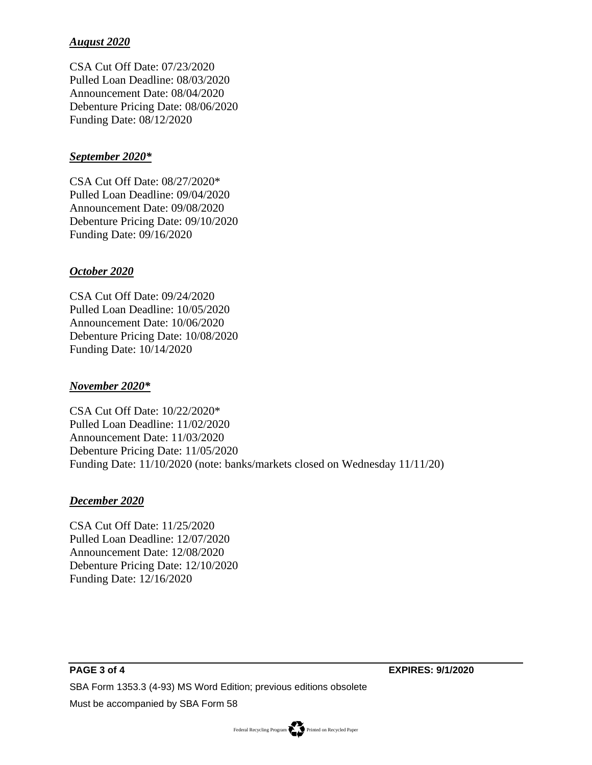# *August 2020*

CSA Cut Off Date: 07/23/2020 Pulled Loan Deadline: 08/03/2020 Announcement Date: 08/04/2020 Debenture Pricing Date: 08/06/2020 Funding Date: 08/12/2020

#### *September 2020\**

CSA Cut Off Date: 08/27/2020\* Pulled Loan Deadline: 09/04/2020 Announcement Date: 09/08/2020 Debenture Pricing Date: 09/10/2020 Funding Date: 09/16/2020

### *October 2020*

CSA Cut Off Date: 09/24/2020 Pulled Loan Deadline: 10/05/2020 Announcement Date: 10/06/2020 Debenture Pricing Date: 10/08/2020 Funding Date: 10/14/2020

#### *November 2020\**

CSA Cut Off Date: 10/22/2020\* Pulled Loan Deadline: 11/02/2020 Announcement Date: 11/03/2020 Debenture Pricing Date: 11/05/2020 Funding Date: 11/10/2020 (note: banks/markets closed on Wednesday 11/11/20)

#### *December 2020*

CSA Cut Off Date: 11/25/2020 Pulled Loan Deadline: 12/07/2020 Announcement Date: 12/08/2020 Debenture Pricing Date: 12/10/2020 Funding Date: 12/16/2020